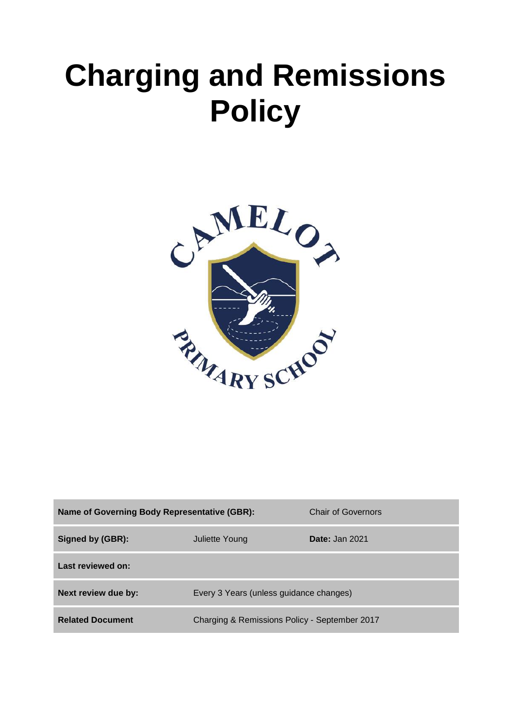# **Charging and Remissions Policy**



| <b>Name of Governing Body Representative (GBR):</b> |                                               | Chair of Governors    |
|-----------------------------------------------------|-----------------------------------------------|-----------------------|
| Signed by (GBR):                                    | Juliette Young                                | <b>Date: Jan 2021</b> |
| Last reviewed on:                                   |                                               |                       |
| Next review due by:                                 | Every 3 Years (unless guidance changes)       |                       |
| <b>Related Document</b>                             | Charging & Remissions Policy - September 2017 |                       |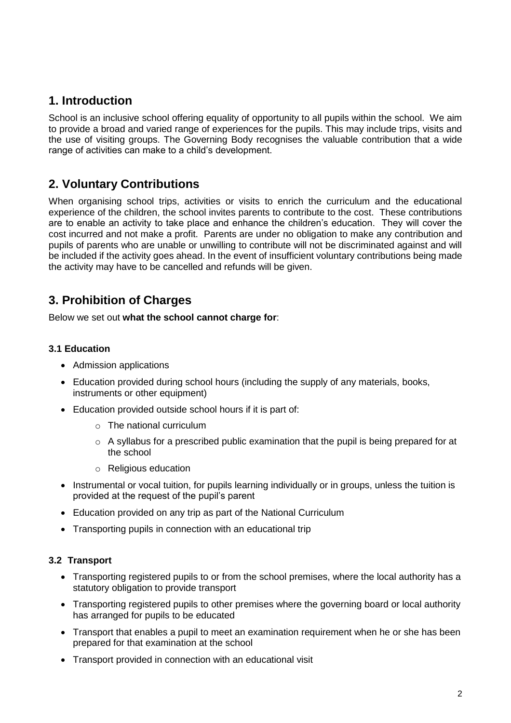## **1. Introduction**

School is an inclusive school offering equality of opportunity to all pupils within the school. We aim to provide a broad and varied range of experiences for the pupils. This may include trips, visits and the use of visiting groups. The Governing Body recognises the valuable contribution that a wide range of activities can make to a child's development.

# **2. Voluntary Contributions**

When organising school trips, activities or visits to enrich the curriculum and the educational experience of the children, the school invites parents to contribute to the cost. These contributions are to enable an activity to take place and enhance the children's education. They will cover the cost incurred and not make a profit. Parents are under no obligation to make any contribution and pupils of parents who are unable or unwilling to contribute will not be discriminated against and will be included if the activity goes ahead. In the event of insufficient voluntary contributions being made the activity may have to be cancelled and refunds will be given.

# **3. Prohibition of Charges**

Below we set out **what the school cannot charge for**:

#### **3.1 Education**

- Admission applications
- Education provided during school hours (including the supply of any materials, books, instruments or other equipment)
- Education provided outside school hours if it is part of:
	- o The national curriculum
	- $\circ$  A syllabus for a prescribed public examination that the pupil is being prepared for at the school
	- o Religious education
- Instrumental or vocal tuition, for pupils learning individually or in groups, unless the tuition is provided at the request of the pupil's parent
- Education provided on any trip as part of the National Curriculum
- Transporting pupils in connection with an educational trip

#### **3.2 Transport**

- Transporting registered pupils to or from the school premises, where the local authority has a statutory obligation to provide transport
- Transporting registered pupils to other premises where the governing board or local authority has arranged for pupils to be educated
- Transport that enables a pupil to meet an examination requirement when he or she has been prepared for that examination at the school
- Transport provided in connection with an educational visit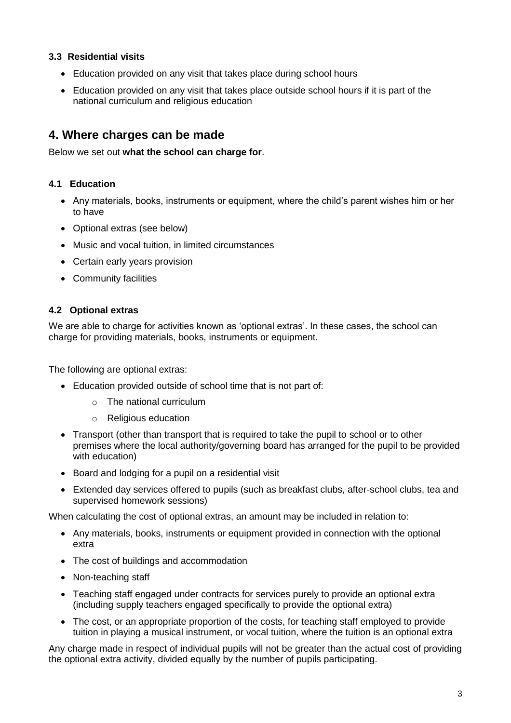#### **3.3 Residential visits**

- Education provided on any visit that takes place during school hours
- Education provided on any visit that takes place outside school hours if it is part of the national curriculum and religious education

### **4. Where charges can be made**

Below we set out **what the school can charge for**.

#### **4.1 Education**

- Any materials, books, instruments or equipment, where the child's parent wishes him or her to have
- Optional extras (see below)
- Music and vocal tuition, in limited circumstances
- Certain early years provision
- Community facilities

#### **4.2 Optional extras**

We are able to charge for activities known as 'optional extras'. In these cases, the school can charge for providing materials, books, instruments or equipment.

The following are optional extras:

- Education provided outside of school time that is not part of:
	- o The national curriculum
	- o Religious education
- Transport (other than transport that is required to take the pupil to school or to other premises where the local authority/governing board has arranged for the pupil to be provided with education)
- Board and lodging for a pupil on a residential visit
- Extended day services offered to pupils (such as breakfast clubs, after-school clubs, tea and supervised homework sessions)

When calculating the cost of optional extras, an amount may be included in relation to:

- Any materials, books, instruments or equipment provided in connection with the optional extra
- The cost of buildings and accommodation
- Non-teaching staff
- Teaching staff engaged under contracts for services purely to provide an optional extra (including supply teachers engaged specifically to provide the optional extra)
- The cost, or an appropriate proportion of the costs, for teaching staff employed to provide tuition in playing a musical instrument, or vocal tuition, where the tuition is an optional extra

Any charge made in respect of individual pupils will not be greater than the actual cost of providing the optional extra activity, divided equally by the number of pupils participating.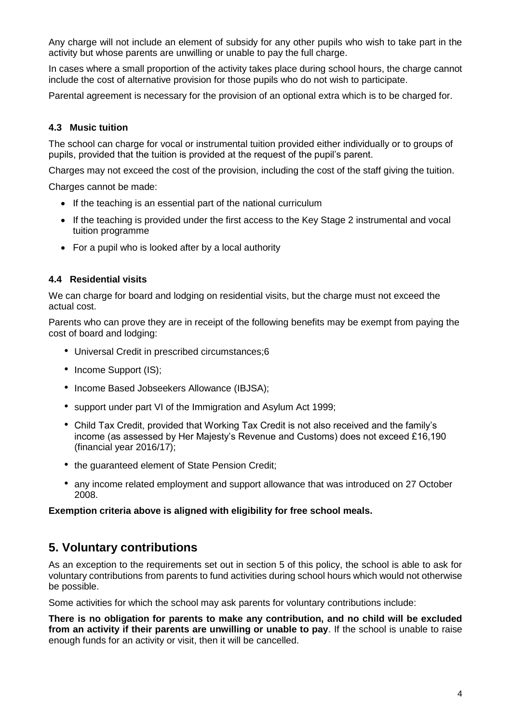Any charge will not include an element of subsidy for any other pupils who wish to take part in the activity but whose parents are unwilling or unable to pay the full charge.

In cases where a small proportion of the activity takes place during school hours, the charge cannot include the cost of alternative provision for those pupils who do not wish to participate.

Parental agreement is necessary for the provision of an optional extra which is to be charged for.

#### **4.3 Music tuition**

The school can charge for vocal or instrumental tuition provided either individually or to groups of pupils, provided that the tuition is provided at the request of the pupil's parent.

Charges may not exceed the cost of the provision, including the cost of the staff giving the tuition.

Charges cannot be made:

- If the teaching is an essential part of the national curriculum
- If the teaching is provided under the first access to the Key Stage 2 instrumental and vocal tuition programme
- For a pupil who is looked after by a local authority

#### **4.4 Residential visits**

We can charge for board and lodging on residential visits, but the charge must not exceed the actual cost.

Parents who can prove they are in receipt of the following benefits may be exempt from paying the cost of board and lodging:

- Universal Credit in prescribed circumstances;6
- Income Support (IS);
- Income Based Jobseekers Allowance (IBJSA);
- support under part VI of the Immigration and Asylum Act 1999;
- Child Tax Credit, provided that Working Tax Credit is not also received and the family's income (as assessed by Her Majesty's Revenue and Customs) does not exceed £16,190 (financial year 2016/17);
- the guaranteed element of State Pension Credit;
- any income related employment and support allowance that was introduced on 27 October 2008.

#### **Exemption criteria above is aligned with eligibility for free school meals.**

## **5. Voluntary contributions**

As an exception to the requirements set out in section 5 of this policy, the school is able to ask for voluntary contributions from parents to fund activities during school hours which would not otherwise be possible.

Some activities for which the school may ask parents for voluntary contributions include:

**There is no obligation for parents to make any contribution, and no child will be excluded from an activity if their parents are unwilling or unable to pay**. If the school is unable to raise enough funds for an activity or visit, then it will be cancelled.